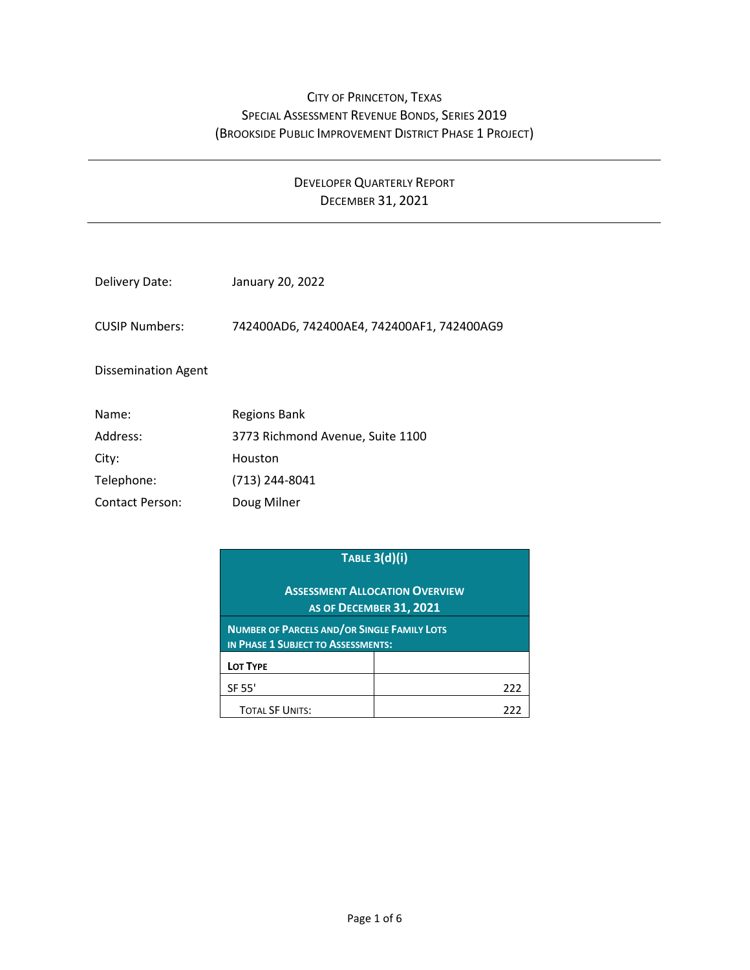## CITY OF PRINCETON, TEXAS SPECIAL ASSESSMENT REVENUE BONDS, SERIES 2019 (BROOKSIDE PUBLIC IMPROVEMENT DISTRICT PHASE 1 PROJECT)

## DEVELOPER QUARTERLY REPORT DECEMBER 31, 2021

| Delivery Date:             | January 20, 2022                           |
|----------------------------|--------------------------------------------|
| <b>CUSIP Numbers:</b>      | 742400AD6, 742400AE4, 742400AF1, 742400AG9 |
| <b>Dissemination Agent</b> |                                            |
| Name:                      | Regions Bank                               |
| Address:                   | 3773 Richmond Avenue, Suite 1100           |
| City:                      | Houston                                    |
| Telephone:                 | (713) 244-8041                             |

Contact Person: Doug Milner

|                                                                                          | <b>TABLE 3(d)(i)</b> |     |  |  |
|------------------------------------------------------------------------------------------|----------------------|-----|--|--|
| <b>ASSESSMENT ALLOCATION OVERVIEW</b><br><b>AS OF DECEMBER 31, 2021</b>                  |                      |     |  |  |
| <b>NUMBER OF PARCELS AND/OR SINGLE FAMILY LOTS</b><br>IN PHASE 1 SUBJECT TO ASSESSMENTS: |                      |     |  |  |
| LOT TYPE                                                                                 |                      |     |  |  |
| SF 55'                                                                                   |                      | 222 |  |  |
| <b>TOTAL SF UNITS:</b>                                                                   |                      |     |  |  |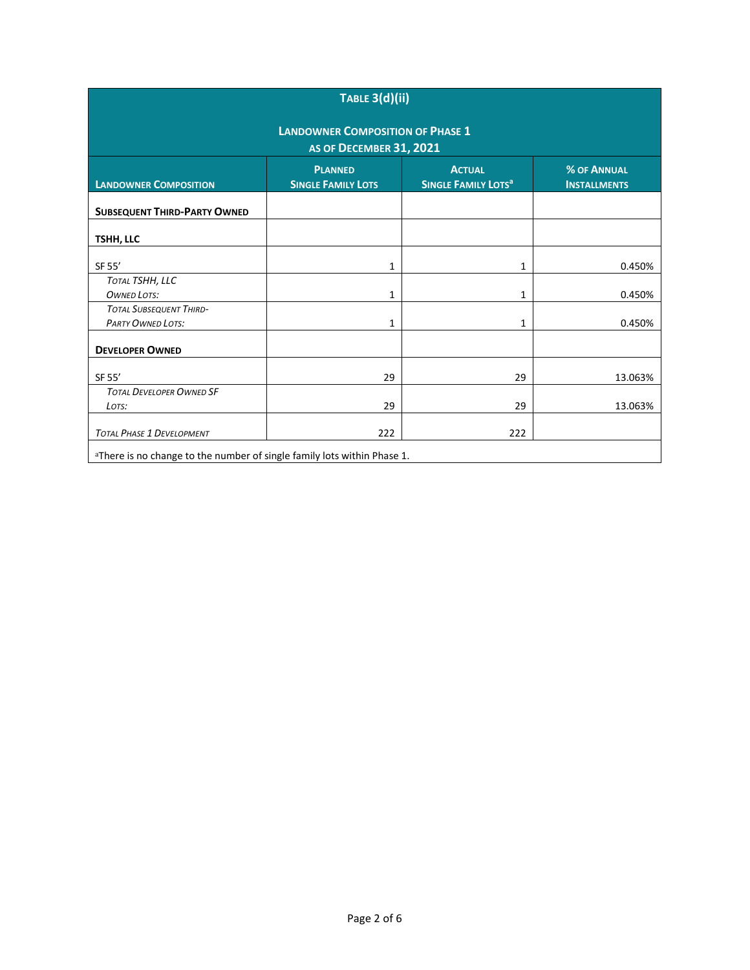| TABLE 3(d)(ii)                                                                                                                                                                     |     |     |         |  |  |  |  |  |
|------------------------------------------------------------------------------------------------------------------------------------------------------------------------------------|-----|-----|---------|--|--|--|--|--|
| <b>LANDOWNER COMPOSITION OF PHASE 1</b><br>AS OF DECEMBER 31, 2021                                                                                                                 |     |     |         |  |  |  |  |  |
| <b>ACTUAL</b><br><b>% OF ANNUAL</b><br><b>PLANNED</b><br><b>LANDOWNER COMPOSITION</b><br><b>SINGLE FAMILY LOTS</b><br><b>SINGLE FAMILY LOTS<sup>a</sup></b><br><b>INSTALLMENTS</b> |     |     |         |  |  |  |  |  |
| <b>SUBSEQUENT THIRD-PARTY OWNED</b>                                                                                                                                                |     |     |         |  |  |  |  |  |
| TSHH, LLC                                                                                                                                                                          |     |     |         |  |  |  |  |  |
| SF 55'                                                                                                                                                                             | 1   | 1   | 0.450%  |  |  |  |  |  |
| TOTAL TSHH, LLC<br><b>OWNED LOTS:</b>                                                                                                                                              | 1   | 1   | 0.450%  |  |  |  |  |  |
| <b>TOTAL SUBSEQUENT THIRD-</b><br><b>PARTY OWNED LOTS:</b>                                                                                                                         | 1   | 1   | 0.450%  |  |  |  |  |  |
| <b>DEVELOPER OWNED</b>                                                                                                                                                             |     |     |         |  |  |  |  |  |
| SF 55'                                                                                                                                                                             | 29  | 29  | 13.063% |  |  |  |  |  |
| <b>TOTAL DEVELOPER OWNED SF</b><br>LOTS:                                                                                                                                           | 29  | 29  | 13.063% |  |  |  |  |  |
| <b>TOTAL PHASE 1 DEVELOPMENT</b>                                                                                                                                                   | 222 | 222 |         |  |  |  |  |  |
| aThere is no change to the number of single family lots within Phase 1.                                                                                                            |     |     |         |  |  |  |  |  |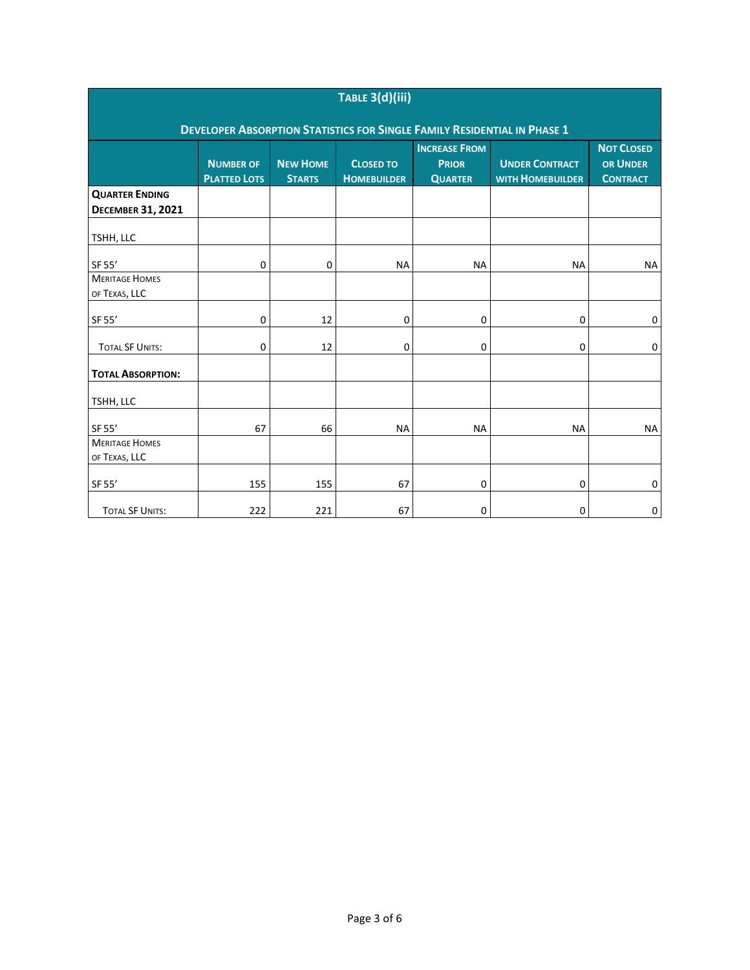| TABLE 3(d)(iii)                                                                 |                                         |                                  |                                        |                                                        |                                                  |                                                         |  |
|---------------------------------------------------------------------------------|-----------------------------------------|----------------------------------|----------------------------------------|--------------------------------------------------------|--------------------------------------------------|---------------------------------------------------------|--|
| <b>DEVELOPER ABSORPTION STATISTICS FOR SINGLE FAMILY RESIDENTIAL IN PHASE 1</b> |                                         |                                  |                                        |                                                        |                                                  |                                                         |  |
|                                                                                 | <b>NUMBER OF</b><br><b>PLATTED LOTS</b> | <b>NEW HOME</b><br><b>STARTS</b> | <b>CLOSED TO</b><br><b>HOMEBUILDER</b> | <b>INCREASE FROM</b><br><b>PRIOR</b><br><b>QUARTER</b> | <b>UNDER CONTRACT</b><br><b>WITH HOMEBUILDER</b> | <b>NOT CLOSED</b><br><b>OR UNDER</b><br><b>CONTRACT</b> |  |
| <b>QUARTER ENDING</b>                                                           |                                         |                                  |                                        |                                                        |                                                  |                                                         |  |
| <b>DECEMBER 31, 2021</b>                                                        |                                         |                                  |                                        |                                                        |                                                  |                                                         |  |
| TSHH, LLC                                                                       |                                         |                                  |                                        |                                                        |                                                  |                                                         |  |
| SF 55'                                                                          | 0                                       | 0                                | <b>NA</b>                              | <b>NA</b>                                              | <b>NA</b>                                        | <b>NA</b>                                               |  |
| <b>MERITAGE HOMES</b>                                                           |                                         |                                  |                                        |                                                        |                                                  |                                                         |  |
| OF TEXAS, LLC                                                                   |                                         |                                  |                                        |                                                        |                                                  |                                                         |  |
| SF 55'                                                                          | 0                                       | 12                               | 0                                      | 0                                                      | 0                                                | $\mathbf 0$                                             |  |
| <b>TOTAL SF UNITS:</b>                                                          | $\mathbf 0$                             | 12                               | 0                                      | 0                                                      | 0                                                | 0                                                       |  |
| <b>TOTAL ABSORPTION:</b>                                                        |                                         |                                  |                                        |                                                        |                                                  |                                                         |  |
| TSHH, LLC                                                                       |                                         |                                  |                                        |                                                        |                                                  |                                                         |  |
| SF 55'                                                                          | 67                                      | 66                               | <b>NA</b>                              | <b>NA</b>                                              | <b>NA</b>                                        | <b>NA</b>                                               |  |
| <b>MERITAGE HOMES</b>                                                           |                                         |                                  |                                        |                                                        |                                                  |                                                         |  |
| OF TEXAS, LLC                                                                   |                                         |                                  |                                        |                                                        |                                                  |                                                         |  |
| SF 55'                                                                          | 155                                     | 155                              | 67                                     | 0                                                      | 0                                                | 0                                                       |  |
| <b>TOTAL SF UNITS:</b>                                                          | 222                                     | 221                              | 67                                     | 0                                                      | 0                                                | 0                                                       |  |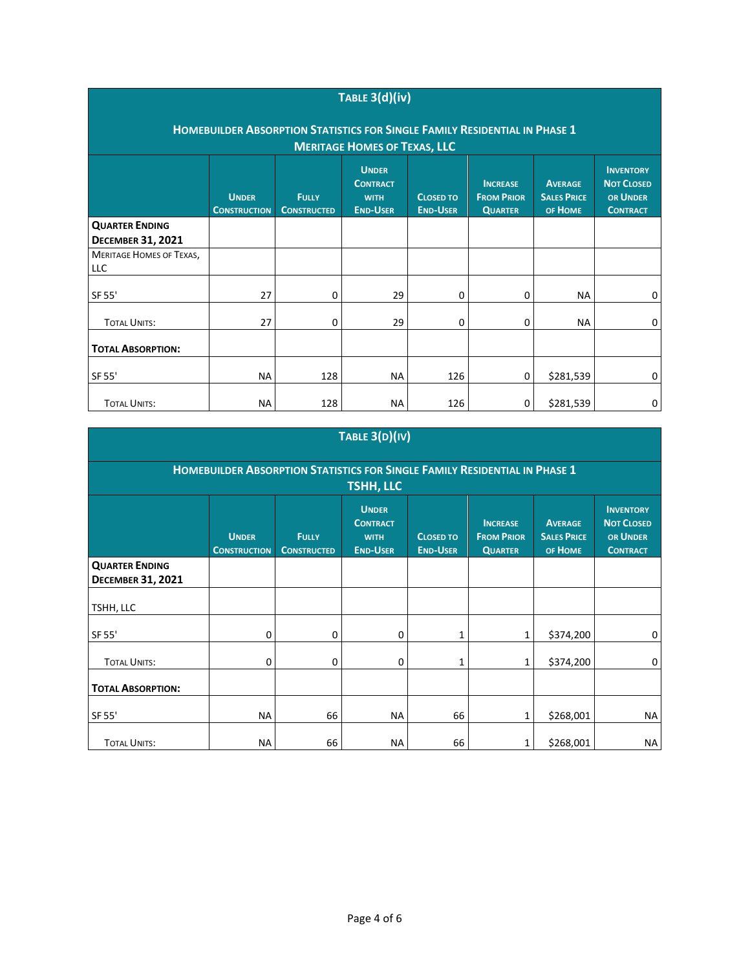| TABLE $3(d)(iv)$                                                                                                                                                                                                                                                                                                                                                           |           |     |           |     |   |           |   |  |
|----------------------------------------------------------------------------------------------------------------------------------------------------------------------------------------------------------------------------------------------------------------------------------------------------------------------------------------------------------------------------|-----------|-----|-----------|-----|---|-----------|---|--|
| <b>HOMEBUILDER ABSORPTION STATISTICS FOR SINGLE FAMILY RESIDENTIAL IN PHASE 1</b><br><b>MERITAGE HOMES OF TEXAS, LLC</b>                                                                                                                                                                                                                                                   |           |     |           |     |   |           |   |  |
| <b>UNDER</b><br><b>INVENTORY</b><br><b>NOT CLOSED</b><br><b>CONTRACT</b><br><b>INCREASE</b><br><b>AVERAGE</b><br><b>UNDER</b><br><b>FROM PRIOR</b><br><b>SALES PRICE</b><br>OR UNDER<br><b>FULLY</b><br><b>CLOSED TO</b><br><b>WITH</b><br><b>END-USER</b><br><b>END-USER</b><br>OF HOME<br><b>CONSTRUCTED</b><br><b>QUARTER</b><br><b>CONTRACT</b><br><b>CONSTRUCTION</b> |           |     |           |     |   |           |   |  |
| <b>QUARTER ENDING</b><br><b>DECEMBER 31, 2021</b>                                                                                                                                                                                                                                                                                                                          |           |     |           |     |   |           |   |  |
| <b>MERITAGE HOMES OF TEXAS,</b><br>LLC                                                                                                                                                                                                                                                                                                                                     |           |     |           |     |   |           |   |  |
| SF 55'                                                                                                                                                                                                                                                                                                                                                                     | 27        | 0   | 29        | 0   | 0 | <b>NA</b> | 0 |  |
| <b>TOTAL UNITS:</b>                                                                                                                                                                                                                                                                                                                                                        | 27        | 0   | 29        | 0   | 0 | NA        | 0 |  |
| <b>TOTAL ABSORPTION:</b>                                                                                                                                                                                                                                                                                                                                                   |           |     |           |     |   |           |   |  |
| SF 55'                                                                                                                                                                                                                                                                                                                                                                     | <b>NA</b> | 128 | <b>NA</b> | 126 | 0 | \$281,539 | 0 |  |
| <b>TOTAL UNITS:</b>                                                                                                                                                                                                                                                                                                                                                        | <b>NA</b> | 128 | <b>NA</b> | 126 | 0 | \$281,539 | 0 |  |

## **TABLE 3(D)(IV)**

| HOMEBUILDER ABSORPTION STATISTICS FOR SINGLE FAMILY RESIDENTIAL IN PHASE 1<br><b>TSHH, LLC</b> |                                     |                                    |                                                                   |                                     |                                                        |                                                 |                                                                      |
|------------------------------------------------------------------------------------------------|-------------------------------------|------------------------------------|-------------------------------------------------------------------|-------------------------------------|--------------------------------------------------------|-------------------------------------------------|----------------------------------------------------------------------|
|                                                                                                | <b>UNDER</b><br><b>CONSTRUCTION</b> | <b>FULLY</b><br><b>CONSTRUCTED</b> | <b>UNDER</b><br><b>CONTRACT</b><br><b>WITH</b><br><b>END-USER</b> | <b>CLOSED TO</b><br><b>END-USER</b> | <b>INCREASE</b><br><b>FROM PRIOR</b><br><b>QUARTER</b> | <b>AVERAGE</b><br><b>SALES PRICE</b><br>OF HOME | <b>INVENTORY</b><br><b>NOT CLOSED</b><br>OR UNDER<br><b>CONTRACT</b> |
| <b>QUARTER ENDING</b><br><b>DECEMBER 31, 2021</b>                                              |                                     |                                    |                                                                   |                                     |                                                        |                                                 |                                                                      |
| TSHH, LLC                                                                                      |                                     |                                    |                                                                   |                                     |                                                        |                                                 |                                                                      |
| SF 55'                                                                                         | 0                                   | 0                                  | 0                                                                 | 1                                   | 1                                                      | \$374,200                                       | 0                                                                    |
| <b>TOTAL UNITS:</b>                                                                            | 0                                   | 0                                  | 0                                                                 | 1                                   | 1                                                      | \$374,200                                       | 0                                                                    |
| <b>TOTAL ABSORPTION:</b>                                                                       |                                     |                                    |                                                                   |                                     |                                                        |                                                 |                                                                      |
| SF 55'                                                                                         | <b>NA</b>                           | 66                                 | <b>NA</b>                                                         | 66                                  | 1                                                      | \$268,001                                       | <b>NA</b>                                                            |
| <b>TOTAL UNITS:</b>                                                                            | <b>NA</b>                           | 66                                 | <b>NA</b>                                                         | 66                                  | 1                                                      | \$268,001                                       | <b>NA</b>                                                            |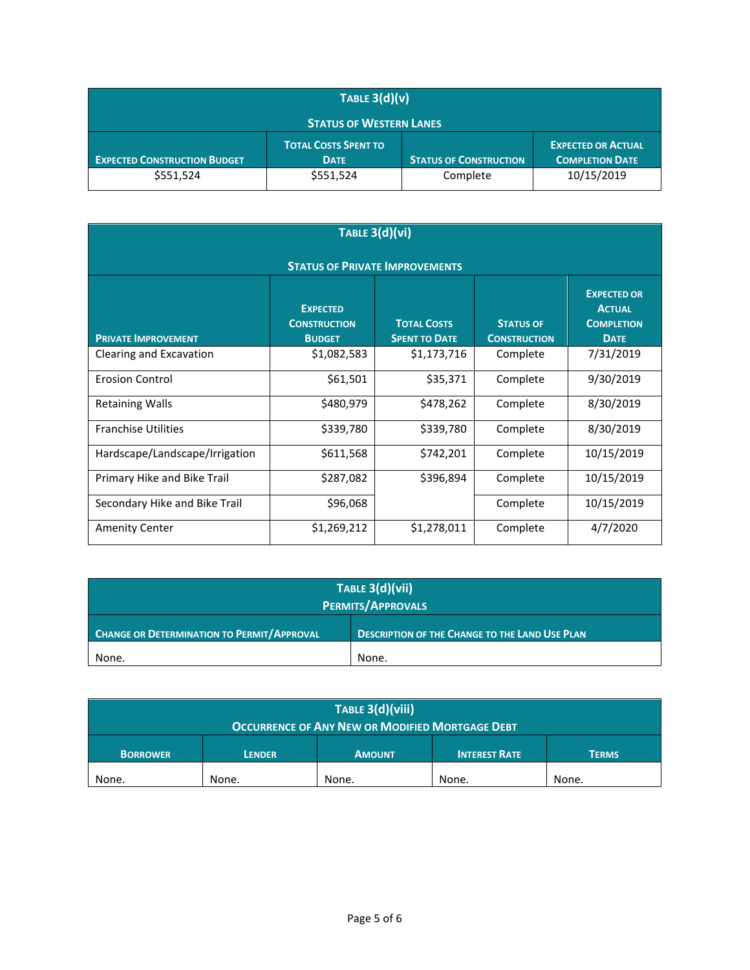| TABLE $3(d)(v)$                                                                                                                                                           |           |          |            |  |  |  |
|---------------------------------------------------------------------------------------------------------------------------------------------------------------------------|-----------|----------|------------|--|--|--|
| <b>STATUS OF WESTERN LANES</b>                                                                                                                                            |           |          |            |  |  |  |
| <b>TOTAL COSTS SPENT TO</b><br><b>EXPECTED OR ACTUAL</b><br><b>EXPECTED CONSTRUCTION BUDGET</b><br><b>STATUS OF CONSTRUCTION</b><br><b>COMPLETION DATE</b><br><b>DATE</b> |           |          |            |  |  |  |
| \$551,524                                                                                                                                                                 | \$551,524 | Complete | 10/15/2019 |  |  |  |

| TABLE 3(d)(vi)                        |                                                         |                                            |                                         |                                                                         |  |  |
|---------------------------------------|---------------------------------------------------------|--------------------------------------------|-----------------------------------------|-------------------------------------------------------------------------|--|--|
| <b>STATUS OF PRIVATE IMPROVEMENTS</b> |                                                         |                                            |                                         |                                                                         |  |  |
| <b>PRIVATE IMPROVEMENT</b>            | <b>EXPECTED</b><br><b>CONSTRUCTION</b><br><b>BUDGET</b> | <b>TOTAL COSTS</b><br><b>SPENT TO DATE</b> | <b>STATUS OF</b><br><b>CONSTRUCTION</b> | <b>EXPECTED OR</b><br><b>ACTUAL</b><br><b>COMPLETION</b><br><b>DATE</b> |  |  |
| Clearing and Excavation               | \$1,082,583                                             | \$1,173,716                                | Complete                                | 7/31/2019                                                               |  |  |
| <b>Erosion Control</b>                | \$61,501                                                | \$35,371                                   | Complete                                | 9/30/2019                                                               |  |  |
| <b>Retaining Walls</b>                | \$480,979                                               | \$478,262                                  | Complete                                | 8/30/2019                                                               |  |  |
| <b>Franchise Utilities</b>            | \$339,780                                               | \$339,780                                  | Complete                                | 8/30/2019                                                               |  |  |
| Hardscape/Landscape/Irrigation        | \$611,568                                               | \$742,201                                  | Complete                                | 10/15/2019                                                              |  |  |
| Primary Hike and Bike Trail           | \$287,082                                               | \$396,894                                  | Complete                                | 10/15/2019                                                              |  |  |
| Secondary Hike and Bike Trail         | \$96,068                                                |                                            | Complete                                | 10/15/2019                                                              |  |  |
| <b>Amenity Center</b>                 | \$1,269,212                                             | \$1,278,011                                | Complete                                | 4/7/2020                                                                |  |  |

| TABLE 3(d)(vii)<br><b>PERMITS/APPROVALS</b>                                                                |       |  |  |
|------------------------------------------------------------------------------------------------------------|-------|--|--|
| <b>CHANGE OR DETERMINATION TO PERMIT/APPROVAL</b><br><b>DESCRIPTION OF THE CHANGE TO THE LAND USE PLAN</b> |       |  |  |
| None.                                                                                                      | None. |  |  |

| TABLE 3(d)(viii)                                                                          |       |       |       |       |  |  |
|-------------------------------------------------------------------------------------------|-------|-------|-------|-------|--|--|
| <b>OCCURRENCE OF ANY NEW OR MODIFIED MORTGAGE DEBT</b>                                    |       |       |       |       |  |  |
| <b>INTEREST RATE</b><br><b>TERMS</b><br><b>BORROWER</b><br><b>AMOUNT</b><br><b>LENDER</b> |       |       |       |       |  |  |
| None.                                                                                     | None. | None. | None. | None. |  |  |